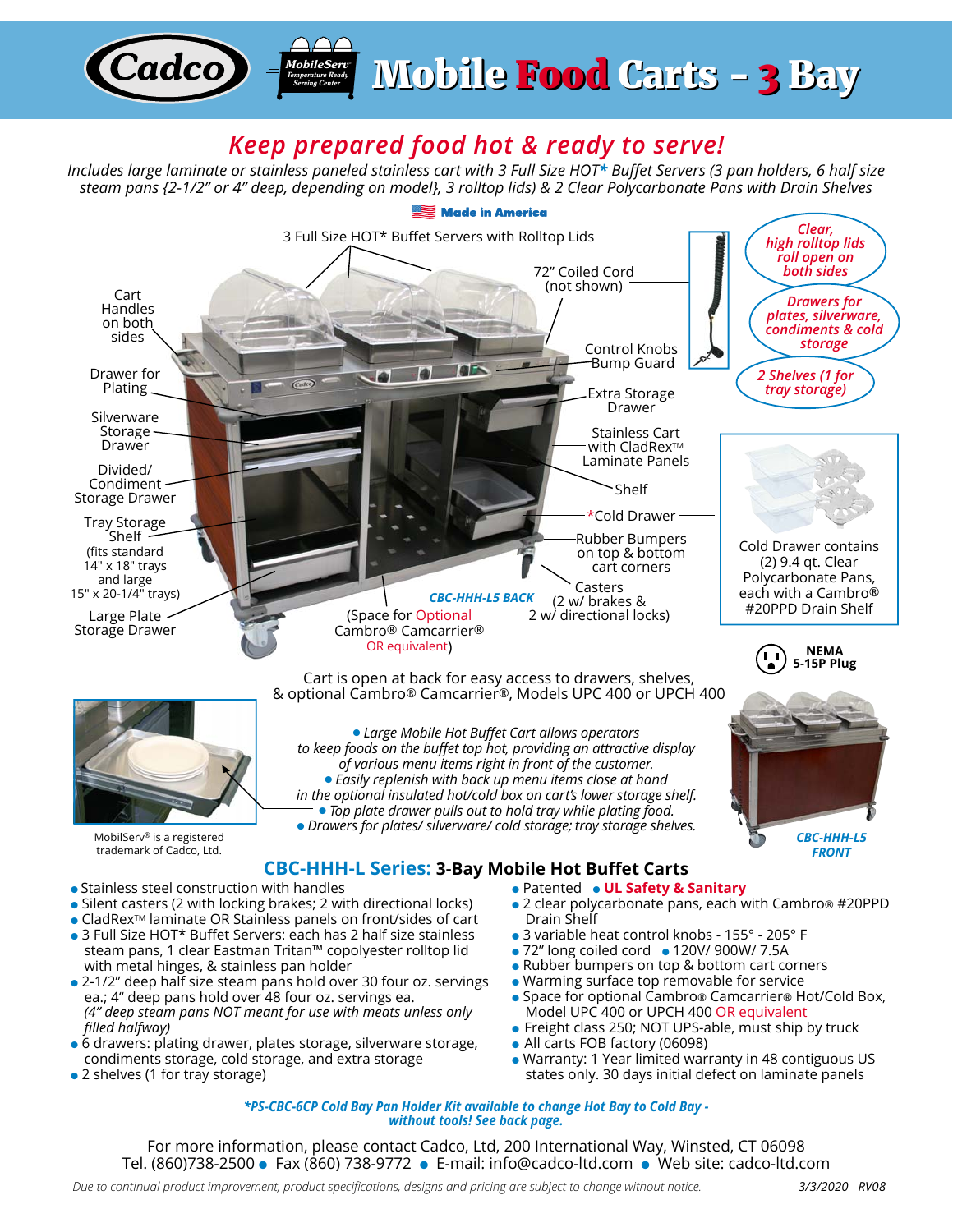## *Keep prepared food hot & ready to serve!*

*MobileServ®Temperature Ready Serving Center*

**Cadco** 

*Mobile Food Carts - 3 Bay* 

*Includes large laminate or stainless paneled stainless cart with 3 Full Size HOT\* Buffet Servers (3 pan holders, 6 half size steam pans {2-1/2" or 4" deep, depending on model}, 3 rolltop lids) & 2 Clear Polycarbonate Pans with Drain Shelves*



*\*PS-CBC-6CP Cold Bay Pan Holder Kit available to change Hot Bay to Cold Bay without tools! See back page.*

For more information, please contact Cadco, Ltd, 200 International Way, Winsted, CT 06098 Tel. (860)738-2500 ● Fax (860) 738-9772 ● E-mail: info@cadco-ltd.com ● Web site: cadco-ltd.com